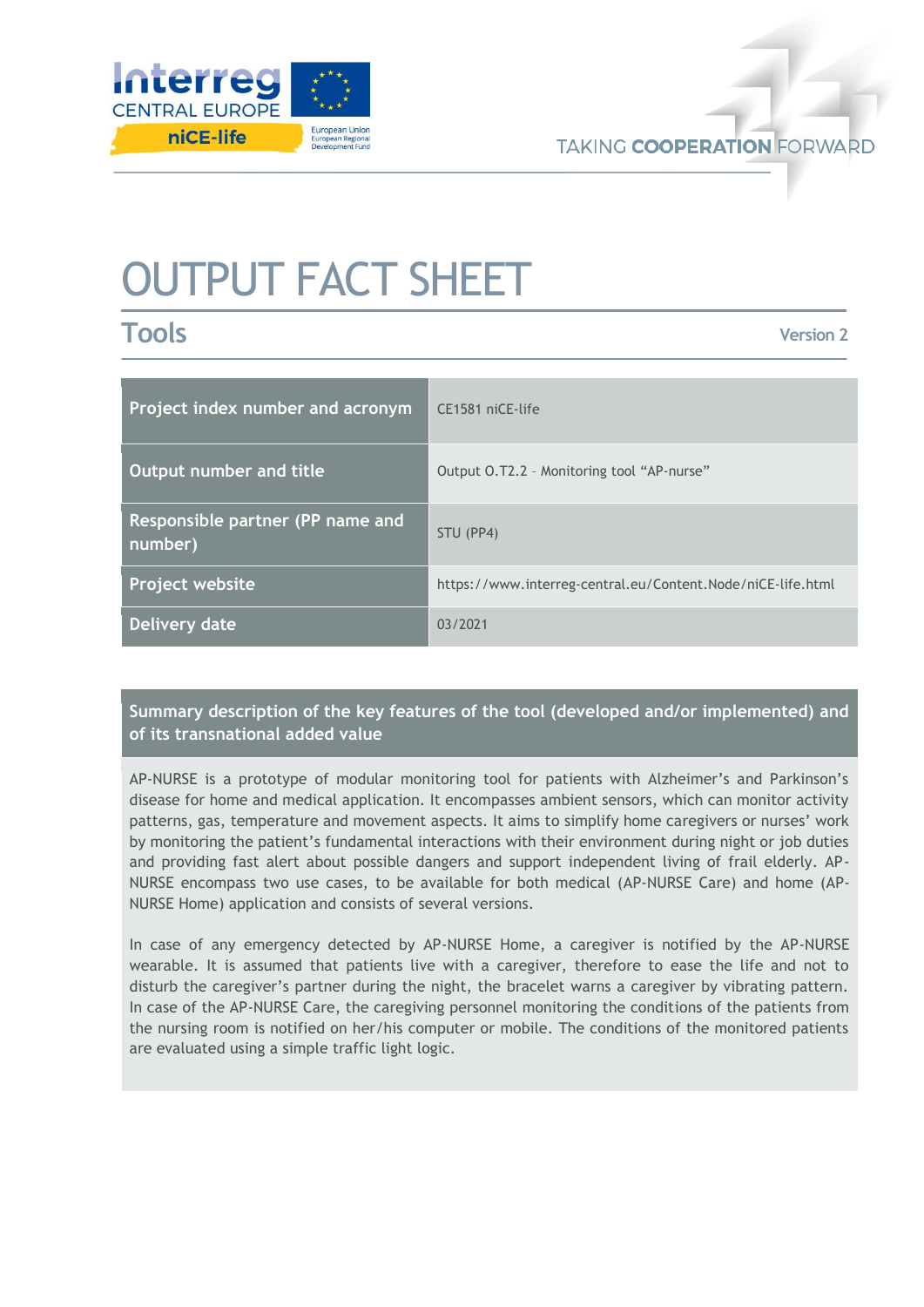

# OUTPUT FACT SHEET

**Tools**

**Version 2**

| Project index number and acronym            | CE1581 niCE-life                                            |
|---------------------------------------------|-------------------------------------------------------------|
| Output number and title                     | Output O.T2.2 - Monitoring tool "AP-nurse"                  |
| Responsible partner (PP name and<br>number) | STU (PP4)                                                   |
| Project website                             | https://www.interreg-central.eu/Content.Node/niCE-life.html |
| Delivery date                               | 03/2021                                                     |

## **Summary description of the key features of the tool (developed and/or implemented) and of its transnational added value**

AP-NURSE is a prototype of modular monitoring tool for patients with Alzheimer's and Parkinson's disease for home and medical application. It encompasses ambient sensors, which can monitor activity patterns, gas, temperature and movement aspects. It aims to simplify home caregivers or nurses' work by monitoring the patient's fundamental interactions with their environment during night or job duties and providing fast alert about possible dangers and support independent living of frail elderly. AP-NURSE encompass two use cases, to be available for both medical (AP-NURSE Care) and home (AP-NURSE Home) application and consists of several versions.

In case of any emergency detected by AP-NURSE Home, a caregiver is notified by the AP-NURSE wearable. It is assumed that patients live with a caregiver, therefore to ease the life and not to disturb the caregiver's partner during the night, the bracelet warns a caregiver by vibrating pattern. In case of the AP-NURSE Care, the caregiving personnel monitoring the conditions of the patients from the nursing room is notified on her/his computer or mobile. The conditions of the monitored patients are evaluated using a simple traffic light logic.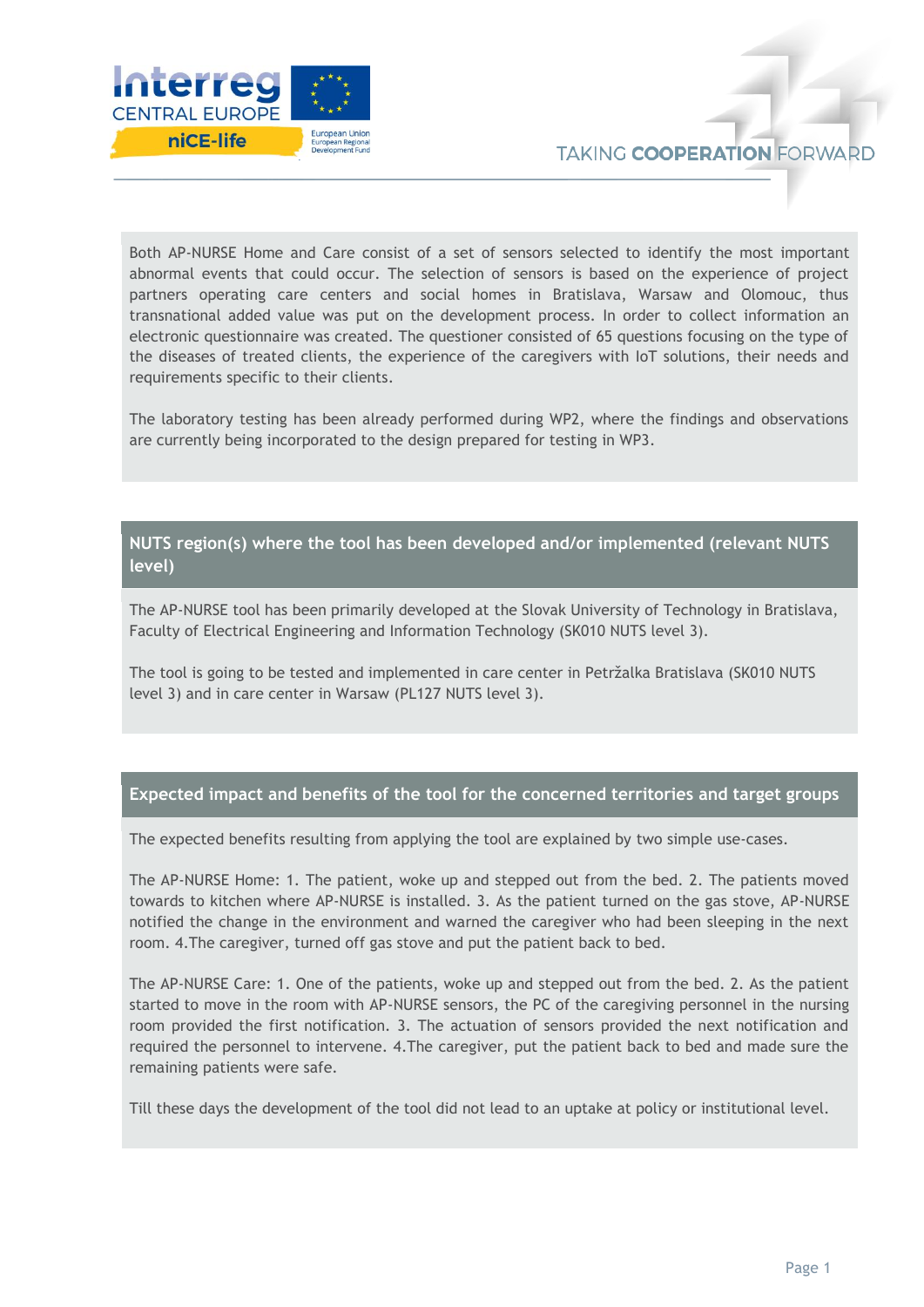

Both AP-NURSE Home and Care consist of a set of sensors selected to identify the most important abnormal events that could occur. The selection of sensors is based on the experience of project partners operating care centers and social homes in Bratislava, Warsaw and Olomouc, thus transnational added value was put on the development process. In order to collect information an electronic questionnaire was created. The questioner consisted of 65 questions focusing on the type of the diseases of treated clients, the experience of the caregivers with IoT solutions, their needs and requirements specific to their clients.

The laboratory testing has been already performed during WP2, where the findings and observations are currently being incorporated to the design prepared for testing in WP3.

### **NUTS region(s) where the tool has been developed and/or implemented (relevant NUTS level)**

The AP-NURSE tool has been primarily developed at the Slovak University of Technology in Bratislava, Faculty of Electrical Engineering and Information Technology (SK010 NUTS level 3).

The tool is going to be tested and implemented in care center in Petržalka Bratislava (SK010 NUTS level 3) and in care center in Warsaw (PL127 NUTS level 3).

#### **Expected impact and benefits of the tool for the concerned territories and target groups**

The expected benefits resulting from applying the tool are explained by two simple use-cases.

The AP-NURSE Home: 1. The patient, woke up and stepped out from the bed. 2. The patients moved towards to kitchen where AP-NURSE is installed. 3. As the patient turned on the gas stove, AP-NURSE notified the change in the environment and warned the caregiver who had been sleeping in the next room. 4.The caregiver, turned off gas stove and put the patient back to bed.

The AP-NURSE Care: 1. One of the patients, woke up and stepped out from the bed. 2. As the patient started to move in the room with AP-NURSE sensors, the PC of the caregiving personnel in the nursing room provided the first notification. 3. The actuation of sensors provided the next notification and required the personnel to intervene. 4.The caregiver, put the patient back to bed and made sure the remaining patients were safe.

Till these days the development of the tool did not lead to an uptake at policy or institutional level.